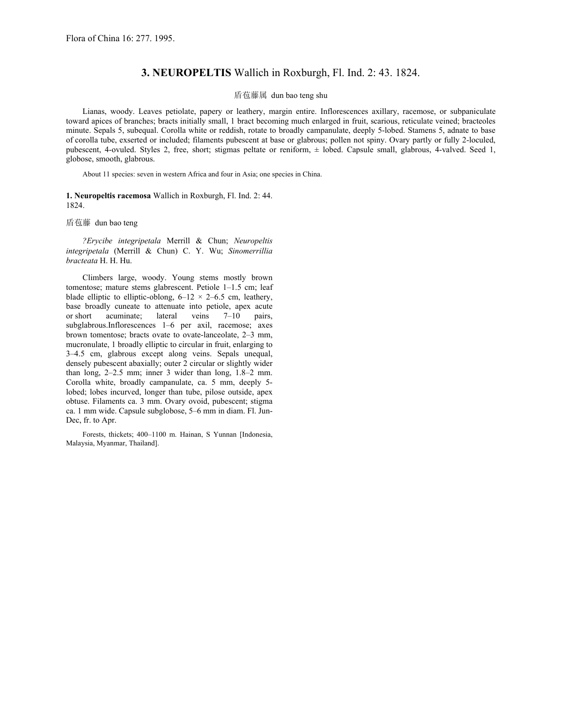## **3. NEUROPELTIS** Wallich in Roxburgh, Fl. Ind. 2: 43. 1824.

## 盾苞藤属 dun bao teng shu

Lianas, woody. Leaves petiolate, papery or leathery, margin entire. Inflorescences axillary, racemose, or subpaniculate toward apices of branches; bracts initially small, 1 bract becoming much enlarged in fruit, scarious, reticulate veined; bracteoles minute. Sepals 5, subequal. Corolla white or reddish, rotate to broadly campanulate, deeply 5-lobed. Stamens 5, adnate to base of corolla tube, exserted or included; filaments pubescent at base or glabrous; pollen not spiny. Ovary partly or fully 2-loculed, pubescent, 4-ovuled. Styles 2, free, short; stigmas peltate or reniform, ± lobed. Capsule small, glabrous, 4-valved. Seed 1, globose, smooth, glabrous.

About 11 species: seven in western Africa and four in Asia; one species in China.

**1. Neuropeltis racemosa** Wallich in Roxburgh, Fl. Ind. 2: 44. 1824.

盾苞藤 dun bao teng

*?Erycibe integripetala* Merrill & Chun; *Neuropeltis integripetala* (Merrill & Chun) C. Y. Wu; *Sinomerrillia bracteata* H. H. Hu.

Climbers large, woody. Young stems mostly brown tomentose; mature stems glabrescent. Petiole 1–1.5 cm; leaf blade elliptic to elliptic-oblong,  $6-12 \times 2-6.5$  cm, leathery, base broadly cuneate to attenuate into petiole, apex acute or short acuminate; lateral veins  $7-10$  pairs. or short acuminate; lateral veins 7–10 pairs, subglabrous.Inflorescences 1–6 per axil, racemose; axes brown tomentose; bracts ovate to ovate-lanceolate, 2–3 mm, mucronulate, 1 broadly elliptic to circular in fruit, enlarging to 3–4.5 cm, glabrous except along veins. Sepals unequal, densely pubescent abaxially; outer 2 circular or slightly wider than long, 2–2.5 mm; inner 3 wider than long, 1.8–2 mm. Corolla white, broadly campanulate, ca. 5 mm, deeply 5 lobed; lobes incurved, longer than tube, pilose outside, apex obtuse. Filaments ca. 3 mm. Ovary ovoid, pubescent; stigma ca. 1 mm wide. Capsule subglobose, 5–6 mm in diam. Fl. Jun-Dec, fr. to Apr.

Forests, thickets; 400–1100 m. Hainan, S Yunnan [Indonesia, Malaysia, Myanmar, Thailand].